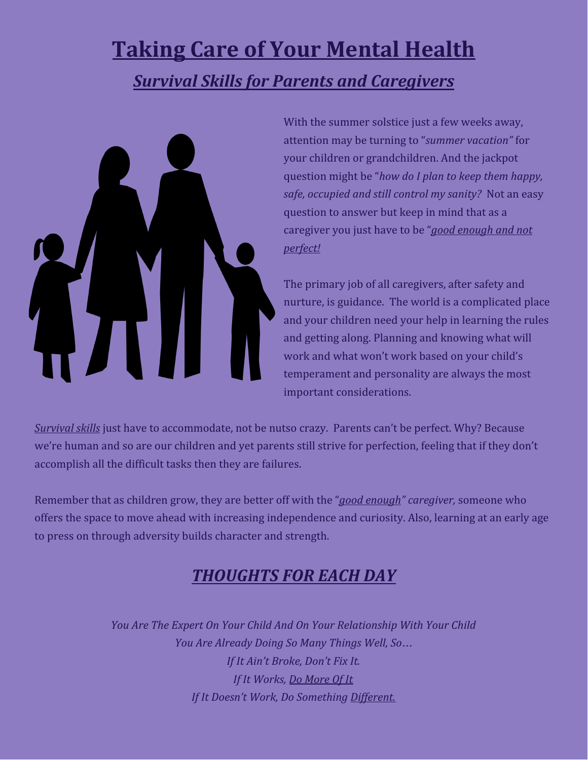## **Taking Care of Your Mental Health** *Survival Skills for Parents and Caregivers*



With the summer solstice just a few weeks away, attention may be turning to "*summer vacation"* for your children or grandchildren. And the jackpot question might be "*how do I plan to keep them happy, safe, occupied and still control my sanity?* Not an easy question to answer but keep in mind that as a caregiver you just have to be "*good enough and not perfect!*

The primary job of all caregivers, after safety and nurture, is guidance. The world is a complicated place and your children need your help in learning the rules and getting along. Planning and knowing what will work and what won't work based on your child's temperament and personality are always the most important considerations.

*Survival skills* just have to accommodate, not be nutso crazy. Parents can't be perfect. Why? Because we're human and so are our children and yet parents still strive for perfection, feeling that if they don't accomplish all the difficult tasks then they are failures.

Remember that as children grow, they are better off with the "*good enough" caregiver,* someone who offers the space to move ahead with increasing independence and curiosity. Also, learning at an early age to press on through adversity builds character and strength.

## *THOUGHTS FOR EACH DAY*

*You Are The Expert On Your Child And On Your Relationship With Your Child You Are Already Doing So Many Things Well, So*… *If It Ain't Broke, Don't Fix It. If It Works, Do More Of It If It Doesn't Work, Do Something Different.*